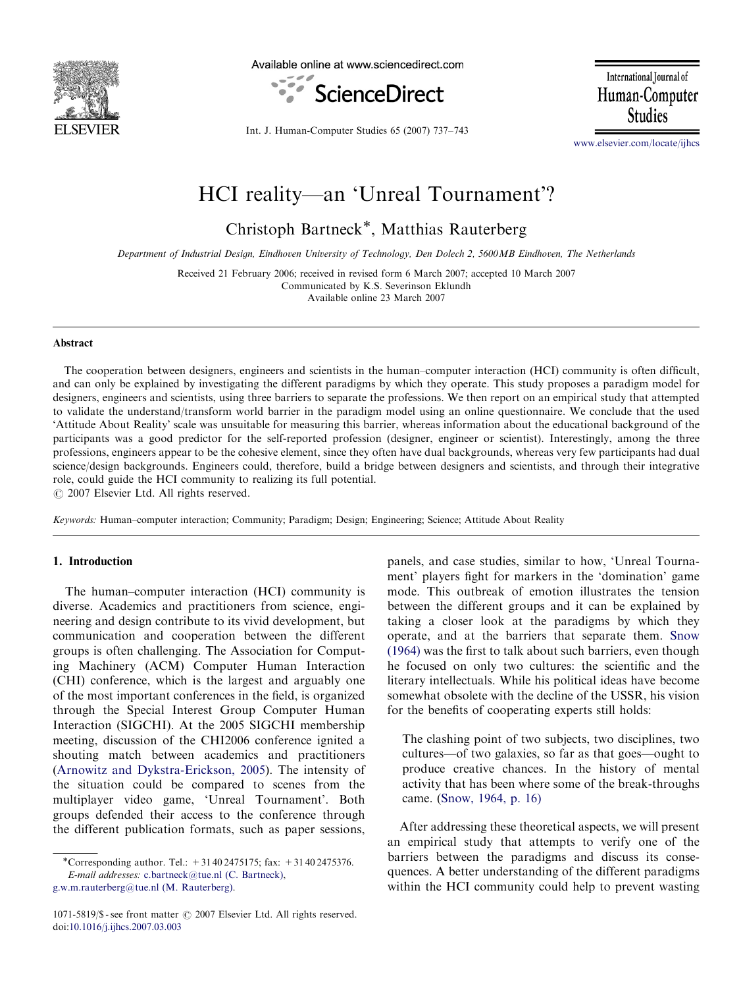

Available online at www.sciencedirect.com



International Journal of Human-Computer **Studies** 

Int. J. Human-Computer Studies 65 (2007) 737–743

[www.elsevier.com/locate/ijhcs](www.elsevier.com/locater/ijhcs)

# HCI reality—an 'Unreal Tournament'?

Christoph Bartneck<sup>\*</sup>, Matthias Rauterberg

Department of Industrial Design, Eindhoven University of Technology, Den Dolech 2, 5600MB Eindhoven, The Netherlands

Received 21 February 2006; received in revised form 6 March 2007; accepted 10 March 2007 Communicated by K.S. Severinson Eklundh Available online 23 March 2007

## Abstract

The cooperation between designers, engineers and scientists in the human–computer interaction (HCI) community is often difficult, and can only be explained by investigating the different paradigms by which they operate. This study proposes a paradigm model for designers, engineers and scientists, using three barriers to separate the professions. We then report on an empirical study that attempted to validate the understand/transform world barrier in the paradigm model using an online questionnaire. We conclude that the used 'Attitude About Reality' scale was unsuitable for measuring this barrier, whereas information about the educational background of the participants was a good predictor for the self-reported profession (designer, engineer or scientist). Interestingly, among the three professions, engineers appear to be the cohesive element, since they often have dual backgrounds, whereas very few participants had dual science/design backgrounds. Engineers could, therefore, build a bridge between designers and scientists, and through their integrative role, could guide the HCI community to realizing its full potential.

 $\odot$  2007 Elsevier Ltd. All rights reserved.

Keywords: Human–computer interaction; Community; Paradigm; Design; Engineering; Science; Attitude About Reality

## 1. Introduction

The human–computer interaction (HCI) community is diverse. Academics and practitioners from science, engineering and design contribute to its vivid development, but communication and cooperation between the different groups is often challenging. The Association for Computing Machinery (ACM) Computer Human Interaction (CHI) conference, which is the largest and arguably one of the most important conferences in the field, is organized through the Special Interest Group Computer Human Interaction (SIGCHI). At the 2005 SIGCHI membership meeting, discussion of the CHI2006 conference ignited a shouting match between academics and practitioners ([Arnowitz and Dykstra-Erickson, 2005](#page-6-0)). The intensity of the situation could be compared to scenes from the multiplayer video game, 'Unreal Tournament'. Both groups defended their access to the conference through the different publication formats, such as paper sessions,

[g.w.m.rauterberg@tue.nl \(M. Rauterberg\).](mailto:g.w.m.rauterberg@tue.nl)

panels, and case studies, similar to how, 'Unreal Tournament' players fight for markers in the 'domination' game mode. This outbreak of emotion illustrates the tension between the different groups and it can be explained by taking a closer look at the paradigms by which they operate, and at the barriers that separate them. [Snow](#page-6-0) [\(1964\)](#page-6-0) was the first to talk about such barriers, even though he focused on only two cultures: the scientific and the literary intellectuals. While his political ideas have become somewhat obsolete with the decline of the USSR, his vision for the benefits of cooperating experts still holds:

The clashing point of two subjects, two disciplines, two cultures—of two galaxies, so far as that goes—ought to produce creative chances. In the history of mental activity that has been where some of the break-throughs came. ([Snow, 1964, p. 16\)](#page-6-0)

After addressing these theoretical aspects, we will present an empirical study that attempts to verify one of the barriers between the paradigms and discuss its consequences. A better understanding of the different paradigms within the HCI community could help to prevent wasting

<sup>-</sup>Corresponding author. Tel.: +31 40 2475175; fax: +31 40 2475376. E-mail addresses: [c.bartneck@tue.nl \(C. Bartneck\),](mailto:c.bartneck@tue.nl)

<sup>1071-5819/\$ -</sup> see front matter © 2007 Elsevier Ltd. All rights reserved. doi:[10.1016/j.ijhcs.2007.03.003](dx.doi.org/10.1016/j.ijhcs.2007.03.003)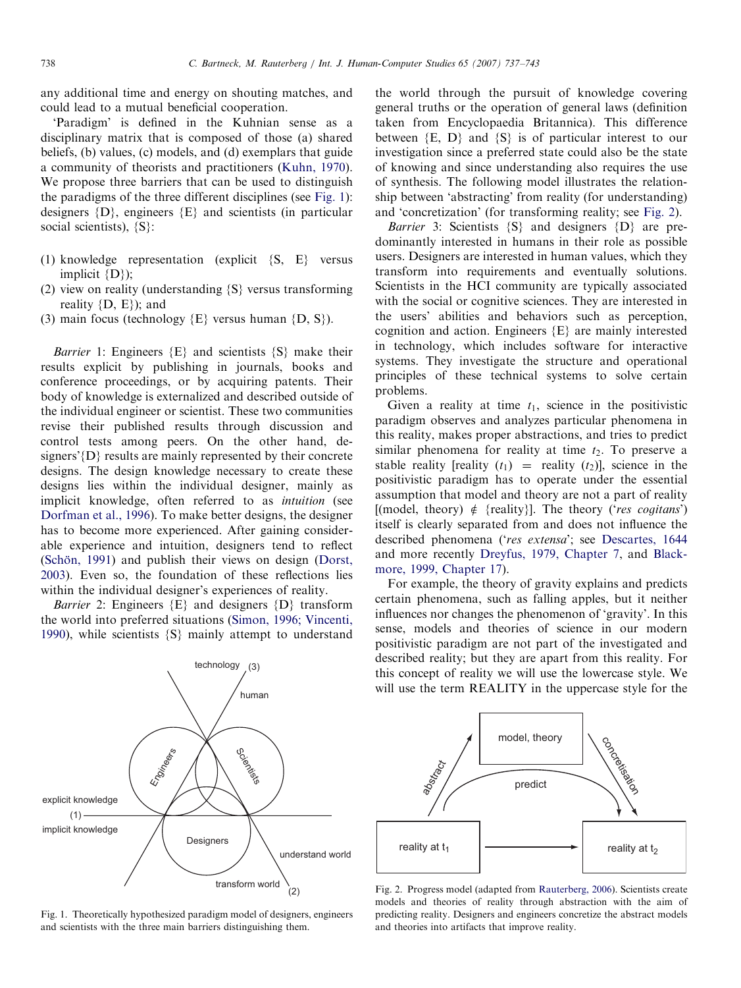<span id="page-1-0"></span>any additional time and energy on shouting matches, and could lead to a mutual beneficial cooperation.

'Paradigm' is defined in the Kuhnian sense as a disciplinary matrix that is composed of those (a) shared beliefs, (b) values, (c) models, and (d) exemplars that guide a community of theorists and practitioners ([Kuhn, 1970\)](#page-6-0). We propose three barriers that can be used to distinguish the paradigms of the three different disciplines (see Fig. 1): designers {D}, engineers {E} and scientists (in particular social scientists),  $\{S\}$ :

- (1) knowledge representation (explicit {S, E} versus implicit  $\{D\}$ ;
- (2) view on reality (understanding {S} versus transforming reality  $\{D, E\}$ ; and
- (3) main focus (technology  $\{E\}$  versus human  $\{D, S\}$ ).

*Barrier* 1: Engineers  $\{E\}$  and scientists  $\{S\}$  make their results explicit by publishing in journals, books and conference proceedings, or by acquiring patents. Their body of knowledge is externalized and described outside of the individual engineer or scientist. These two communities revise their published results through discussion and control tests among peers. On the other hand, designers'{D} results are mainly represented by their concrete designs. The design knowledge necessary to create these designs lies within the individual designer, mainly as implicit knowledge, often referred to as *intuition* (see [Dorfman et al., 1996\)](#page-6-0). To make better designs, the designer has to become more experienced. After gaining considerable experience and intuition, designers tend to reflect (Schön, 1991) and publish their views on design [\(Dorst,](#page-6-0) [2003\)](#page-6-0). Even so, the foundation of these reflections lies within the individual designer's experiences of reality.

*Barrier* 2: Engineers  $\{E\}$  and designers  $\{D\}$  transform the world into preferred situations ([Simon, 1996; Vincenti,](#page-6-0) [1990\)](#page-6-0), while scientists {S} mainly attempt to understand

Scientists Engineers Designers transform world understand world explicit knowledge implicit knowledge technology human (3) (1) (2)

Fig. 1. Theoretically hypothesized paradigm model of designers, engineers and scientists with the three main barriers distinguishing them.

the world through the pursuit of knowledge covering general truths or the operation of general laws (definition taken from Encyclopaedia Britannica). This difference between  $\{E, D\}$  and  $\{S\}$  is of particular interest to our investigation since a preferred state could also be the state of knowing and since understanding also requires the use of synthesis. The following model illustrates the relationship between 'abstracting' from reality (for understanding) and 'concretization' (for transforming reality; see Fig. 2).

*Barrier* 3: Scientists  $\{S\}$  and designers  $\{D\}$  are predominantly interested in humans in their role as possible users. Designers are interested in human values, which they transform into requirements and eventually solutions. Scientists in the HCI community are typically associated with the social or cognitive sciences. They are interested in the users' abilities and behaviors such as perception, cognition and action. Engineers {E} are mainly interested in technology, which includes software for interactive systems. They investigate the structure and operational principles of these technical systems to solve certain problems.

Given a reality at time  $t_1$ , science in the positivistic paradigm observes and analyzes particular phenomena in this reality, makes proper abstractions, and tries to predict similar phenomena for reality at time  $t_2$ . To preserve a stable reality [reality  $(t_1)$  = reality  $(t_2)$ ], science in the positivistic paradigm has to operate under the essential assumption that model and theory are not a part of reality [(model, theory)  $\notin$  {reality}]. The theory ('res cogitans') itself is clearly separated from and does not influence the described phenomena ('res extensa'; see [Descartes, 1644](#page-6-0) and more recently [Dreyfus, 1979, Chapter 7,](#page-6-0) and [Black](#page-6-0)[more, 1999, Chapter 17\)](#page-6-0).

For example, the theory of gravity explains and predicts certain phenomena, such as falling apples, but it neither influences nor changes the phenomenon of 'gravity'. In this sense, models and theories of science in our modern positivistic paradigm are not part of the investigated and described reality; but they are apart from this reality. For this concept of reality we will use the lowercase style. We will use the term REALITY in the uppercase style for the



Fig. 2. Progress model (adapted from [Rauterberg, 2006\)](#page-6-0). Scientists create models and theories of reality through abstraction with the aim of predicting reality. Designers and engineers concretize the abstract models and theories into artifacts that improve reality.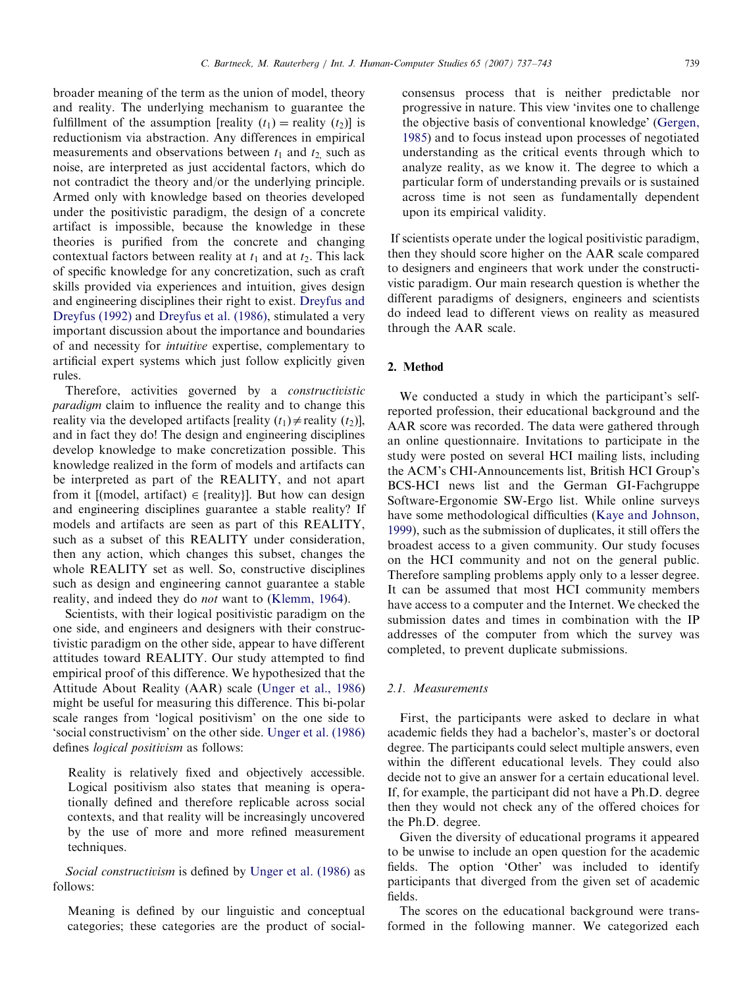broader meaning of the term as the union of model, theory and reality. The underlying mechanism to guarantee the fulfillment of the assumption [reality  $(t_1)$  = reality  $(t_2)$ ] is reductionism via abstraction. Any differences in empirical measurements and observations between  $t_1$  and  $t_2$  such as noise, are interpreted as just accidental factors, which do not contradict the theory and/or the underlying principle. Armed only with knowledge based on theories developed under the positivistic paradigm, the design of a concrete artifact is impossible, because the knowledge in these theories is purified from the concrete and changing contextual factors between reality at  $t_1$  and at  $t_2$ . This lack of specific knowledge for any concretization, such as craft skills provided via experiences and intuition, gives design and engineering disciplines their right to exist. [Dreyfus and](#page-6-0) [Dreyfus \(1992\)](#page-6-0) and [Dreyfus et al. \(1986\),](#page-6-0) stimulated a very important discussion about the importance and boundaries of and necessity for intuitive expertise, complementary to artificial expert systems which just follow explicitly given rules.

Therefore, activities governed by a constructivistic paradigm claim to influence the reality and to change this reality via the developed artifacts [reality  $(t_1) \neq$  reality  $(t_2)$ ], and in fact they do! The design and engineering disciplines develop knowledge to make concretization possible. This knowledge realized in the form of models and artifacts can be interpreted as part of the REALITY, and not apart from it [(model, artifact)  $\in$  {reality}]. But how can design and engineering disciplines guarantee a stable reality? If models and artifacts are seen as part of this REALITY, such as a subset of this REALITY under consideration, then any action, which changes this subset, changes the whole REALITY set as well. So, constructive disciplines such as design and engineering cannot guarantee a stable reality, and indeed they do not want to [\(Klemm, 1964](#page-6-0)).

Scientists, with their logical positivistic paradigm on the one side, and engineers and designers with their constructivistic paradigm on the other side, appear to have different attitudes toward REALITY. Our study attempted to find empirical proof of this difference. We hypothesized that the Attitude About Reality (AAR) scale [\(Unger et al., 1986](#page-6-0)) might be useful for measuring this difference. This bi-polar scale ranges from 'logical positivism' on the one side to 'social constructivism' on the other side. [Unger et al. \(1986\)](#page-6-0) defines logical positivism as follows:

Reality is relatively fixed and objectively accessible. Logical positivism also states that meaning is operationally defined and therefore replicable across social contexts, and that reality will be increasingly uncovered by the use of more and more refined measurement techniques.

Social constructivism is defined by [Unger et al. \(1986\)](#page-6-0) as follows:

Meaning is defined by our linguistic and conceptual categories; these categories are the product of socialconsensus process that is neither predictable nor progressive in nature. This view 'invites one to challenge the objective basis of conventional knowledge' ([Gergen,](#page-6-0) [1985](#page-6-0)) and to focus instead upon processes of negotiated understanding as the critical events through which to analyze reality, as we know it. The degree to which a particular form of understanding prevails or is sustained across time is not seen as fundamentally dependent upon its empirical validity.

If scientists operate under the logical positivistic paradigm, then they should score higher on the AAR scale compared to designers and engineers that work under the constructivistic paradigm. Our main research question is whether the different paradigms of designers, engineers and scientists do indeed lead to different views on reality as measured through the AAR scale.

#### 2. Method

We conducted a study in which the participant's selfreported profession, their educational background and the AAR score was recorded. The data were gathered through an online questionnaire. Invitations to participate in the study were posted on several HCI mailing lists, including the ACM's CHI-Announcements list, British HCI Group's BCS-HCI news list and the German GI-Fachgruppe Software-Ergonomie SW-Ergo list. While online surveys have some methodological difficulties [\(Kaye and Johnson,](#page-6-0) [1999](#page-6-0)), such as the submission of duplicates, it still offers the broadest access to a given community. Our study focuses on the HCI community and not on the general public. Therefore sampling problems apply only to a lesser degree. It can be assumed that most HCI community members have access to a computer and the Internet. We checked the submission dates and times in combination with the IP addresses of the computer from which the survey was completed, to prevent duplicate submissions.

#### 2.1. Measurements

First, the participants were asked to declare in what academic fields they had a bachelor's, master's or doctoral degree. The participants could select multiple answers, even within the different educational levels. They could also decide not to give an answer for a certain educational level. If, for example, the participant did not have a Ph.D. degree then they would not check any of the offered choices for the Ph.D. degree.

Given the diversity of educational programs it appeared to be unwise to include an open question for the academic fields. The option 'Other' was included to identify participants that diverged from the given set of academic fields.

The scores on the educational background were transformed in the following manner. We categorized each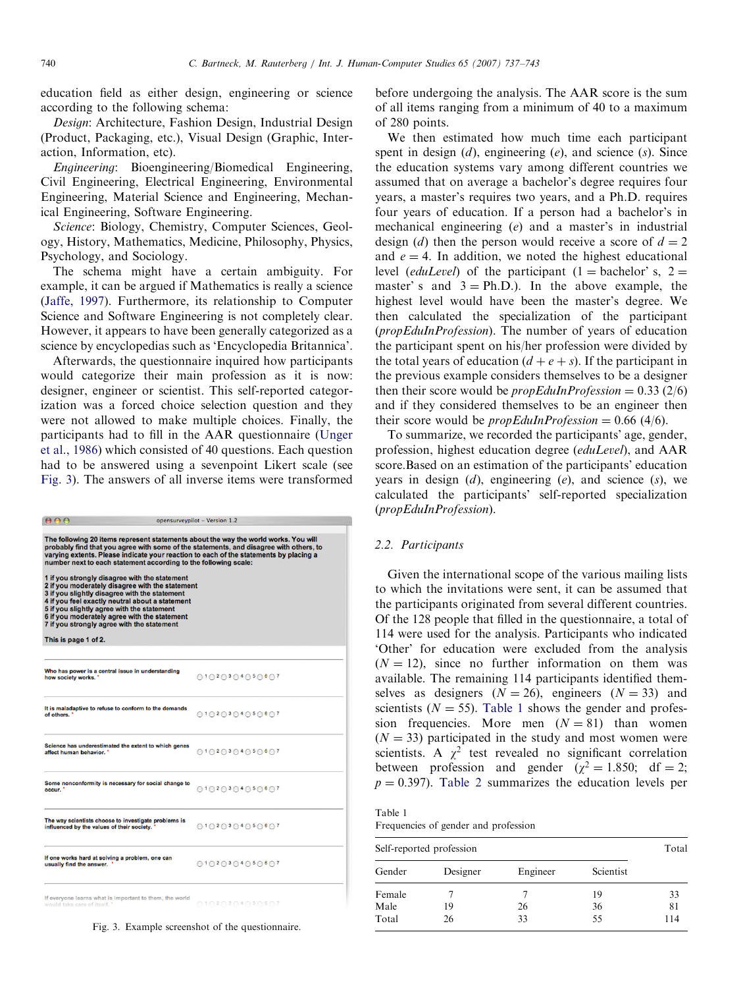education field as either design, engineering or science according to the following schema:

Design: Architecture, Fashion Design, Industrial Design (Product, Packaging, etc.), Visual Design (Graphic, Interaction, Information, etc).

Engineering: Bioengineering/Biomedical Engineering, Civil Engineering, Electrical Engineering, Environmental Engineering, Material Science and Engineering, Mechanical Engineering, Software Engineering.

Science: Biology, Chemistry, Computer Sciences, Geology, History, Mathematics, Medicine, Philosophy, Physics, Psychology, and Sociology.

The schema might have a certain ambiguity. For example, it can be argued if Mathematics is really a science [\(Jaffe, 1997\)](#page-6-0). Furthermore, its relationship to Computer Science and Software Engineering is not completely clear. However, it appears to have been generally categorized as a science by encyclopedias such as 'Encyclopedia Britannica'.

Afterwards, the questionnaire inquired how participants would categorize their main profession as it is now: designer, engineer or scientist. This self-reported categorization was a forced choice selection question and they were not allowed to make multiple choices. Finally, the participants had to fill in the AAR questionnaire ([Unger](#page-6-0) [et al., 1986\)](#page-6-0) which consisted of 40 questions. Each question had to be answered using a sevenpoint Likert scale (see Fig. 3). The answers of all inverse items were transformed

| AA                                                                                                                                                                                                                                                                                                                                                                                                                                                                                                                                                                                                                                                                                                                    | opensurveypilot - Version 1.2                                                         |  |  |  |  |
|-----------------------------------------------------------------------------------------------------------------------------------------------------------------------------------------------------------------------------------------------------------------------------------------------------------------------------------------------------------------------------------------------------------------------------------------------------------------------------------------------------------------------------------------------------------------------------------------------------------------------------------------------------------------------------------------------------------------------|---------------------------------------------------------------------------------------|--|--|--|--|
| The following 20 items represent statements about the way the world works. You will<br>probably find that you agree with some of the statements, and disagree with others, to<br>varying extents. Please indicate your reaction to each of the statements by placing a<br>number next to each statement according to the following scale:<br>1 if you strongly disagree with the statement<br>2 if you moderately disagree with the statement<br>3 if you slightly disagree with the statement<br>4 if you feel exactly neutral about a statement<br>5 if you slightly agree with the statement<br>6 if you moderately agree with the statement<br>7 if you strongly agree with the statement<br>This is page 1 of 2. |                                                                                       |  |  |  |  |
|                                                                                                                                                                                                                                                                                                                                                                                                                                                                                                                                                                                                                                                                                                                       |                                                                                       |  |  |  |  |
| Who has power is a central issue in understanding<br>how society works. '                                                                                                                                                                                                                                                                                                                                                                                                                                                                                                                                                                                                                                             | 01020304050607                                                                        |  |  |  |  |
| It is maladaptive to refuse to conform to the demands<br>of others.                                                                                                                                                                                                                                                                                                                                                                                                                                                                                                                                                                                                                                                   | $\bigoplus 1 \bigoplus 2 \bigoplus 3 \bigoplus 4 \bigoplus 5 \bigoplus 6 \bigoplus 7$ |  |  |  |  |
| Science has underestimated the extent to which genes<br>affect human behavior.                                                                                                                                                                                                                                                                                                                                                                                                                                                                                                                                                                                                                                        | 0.1020304050607                                                                       |  |  |  |  |
| Some nonconformity is necessary for social change to<br>occur. *                                                                                                                                                                                                                                                                                                                                                                                                                                                                                                                                                                                                                                                      | $\bigcap 1 \bigcap 2 \bigcap 3 \bigcap 4 \bigcap 5 \bigcap 6 \bigcap 7$               |  |  |  |  |
| The way scientists choose to investigate problems is<br>influenced by the values of their society.                                                                                                                                                                                                                                                                                                                                                                                                                                                                                                                                                                                                                    | $\bigcap$ 1 $\bigcap$ 2 $\bigcap$ 3 $\bigcap$ 4 $\bigcap$ 5 $\bigcap$ 6 $\bigcap$ 7   |  |  |  |  |
| If one works hard at solving a problem, one can<br>usually find the answer.                                                                                                                                                                                                                                                                                                                                                                                                                                                                                                                                                                                                                                           | 0102030405067                                                                         |  |  |  |  |
|                                                                                                                                                                                                                                                                                                                                                                                                                                                                                                                                                                                                                                                                                                                       |                                                                                       |  |  |  |  |

ne learns what is important to them, the world<br>ke care of itself. \*  $0.1020304050507$ 

Fig. 3. Example screenshot of the questionnaire.

before undergoing the analysis. The AAR score is the sum of all items ranging from a minimum of 40 to a maximum of 280 points.

We then estimated how much time each participant spent in design  $(d)$ , engineering  $(e)$ , and science  $(s)$ . Since the education systems vary among different countries we assumed that on average a bachelor's degree requires four years, a master's requires two years, and a Ph.D. requires four years of education. If a person had a bachelor's in mechanical engineering  $(e)$  and a master's in industrial design (d) then the person would receive a score of  $d = 2$ and  $e = 4$ . In addition, we noted the highest educational level (*eduLevel*) of the participant (1 = bachelor' s, 2 = master' s and  $3 = Ph.D.$ ). In the above example, the highest level would have been the master's degree. We then calculated the specialization of the participant (propEduInProfession). The number of years of education the participant spent on his/her profession were divided by the total years of education  $(d + e + s)$ . If the participant in the previous example considers themselves to be a designer then their score would be *propEduInProfession* =  $0.33$  (2/6) and if they considered themselves to be an engineer then their score would be *propEduInProfession* =  $0.66$  (4/6).

To summarize, we recorded the participants' age, gender, profession, highest education degree (eduLevel), and AAR score:Based on an estimation of the participants' education years in design  $(d)$ , engineering  $(e)$ , and science  $(s)$ , we calculated the participants' self-reported specialization (propEduInProfession).

#### 2.2. Participants

Given the international scope of the various mailing lists to which the invitations were sent, it can be assumed that the participants originated from several different countries. Of the 128 people that filled in the questionnaire, a total of 114 were used for the analysis. Participants who indicated 'Other' for education were excluded from the analysis  $(N = 12)$ , since no further information on them was available. The remaining 114 participants identified themselves as designers  $(N = 26)$ , engineers  $(N = 33)$  and scientists ( $N = 55$ ). Table 1 shows the gender and profession frequencies. More men  $(N = 81)$  than women  $(N = 33)$  participated in the study and most women were scientists. A  $\chi^2$  test revealed no significant correlation between profession and gender ( $\chi^2 = 1.850$ ; df = 2;  $p = 0.397$ ). [Table 2](#page-4-0) summarizes the education levels per

Table 1 Frequencies of gender and profession

| Self-reported profession |          |          |           | Total |
|--------------------------|----------|----------|-----------|-------|
| Gender                   | Designer | Engineer | Scientist |       |
| Female                   |          |          | 19        | 33    |
| Male                     | 19       | 26       | 36        | 81    |
| Total                    | 26       | 33       | 55        | 114   |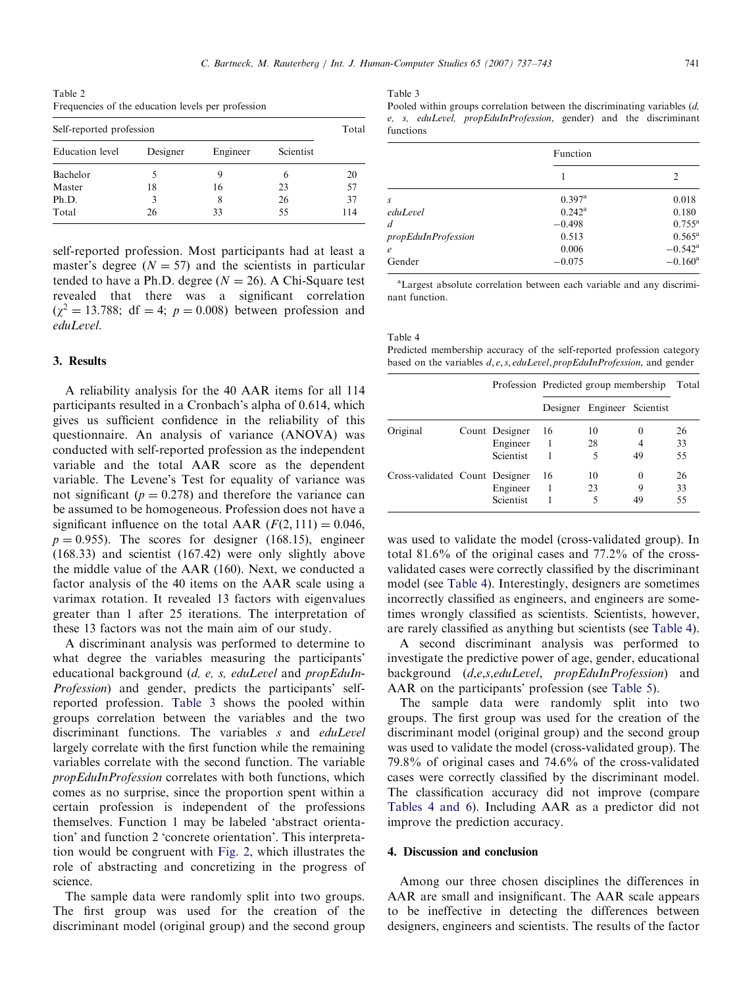<span id="page-4-0"></span>Table 2 Frequencies of the education levels per profession

| Self-reported profession |          |          |           | Total |
|--------------------------|----------|----------|-----------|-------|
| <b>Education</b> level   | Designer | Engineer | Scientist |       |
| Bachelor                 | 5        | 9        | 6         | 20    |
| Master                   | 18       | 16       | 23        | 57    |
| Ph.D.                    | 3        | 8        | 26        | 37    |
| Total                    | 26       | 33       | 55        | 114   |

self-reported profession. Most participants had at least a master's degree  $(N = 57)$  and the scientists in particular tended to have a Ph.D. degree  $(N = 26)$ . A Chi-Square test revealed that there was a significant correlation  $(\chi^2 = 13.788; df = 4; p = 0.008)$  between profession and eduLevel.

## 3. Results

A reliability analysis for the 40 AAR items for all 114 participants resulted in a Cronbach's alpha of 0.614, which gives us sufficient confidence in the reliability of this questionnaire. An analysis of variance (ANOVA) was conducted with self-reported profession as the independent variable and the total AAR score as the dependent variable. The Levene's Test for equality of variance was not significant ( $p = 0.278$ ) and therefore the variance can be assumed to be homogeneous. Profession does not have a significant influence on the total AAR  $(F(2, 111) = 0.046,$  $p = 0.955$ ). The scores for designer (168.15), engineer (168.33) and scientist (167.42) were only slightly above the middle value of the AAR (160). Next, we conducted a factor analysis of the 40 items on the AAR scale using a varimax rotation. It revealed 13 factors with eigenvalues greater than 1 after 25 iterations. The interpretation of these 13 factors was not the main aim of our study.

A discriminant analysis was performed to determine to what degree the variables measuring the participants' educational background (d, e, s, eduLevel and propEduIn-Profession) and gender, predicts the participants' selfreported profession. Table 3 shows the pooled within groups correlation between the variables and the two discriminant functions. The variables s and eduLevel largely correlate with the first function while the remaining variables correlate with the second function. The variable propEduInProfession correlates with both functions, which comes as no surprise, since the proportion spent within a certain profession is independent of the professions themselves. Function 1 may be labeled 'abstract orientation' and function 2 'concrete orientation'. This interpretation would be congruent with [Fig. 2,](#page-1-0) which illustrates the role of abstracting and concretizing in the progress of science.

The sample data were randomly split into two groups. The first group was used for the creation of the discriminant model (original group) and the second group

#### Table 3

Pooled within groups correlation between the discriminating variables (d, e, s, eduLevel, propEduInProfession, gender) and the discriminant functions

|                     | Function             |                       |  |
|---------------------|----------------------|-----------------------|--|
|                     |                      | 2                     |  |
| S                   | $0.397$ <sup>a</sup> | 0.018                 |  |
| eduLevel            | $0.242^{\rm a}$      | 0.180                 |  |
| d                   | $-0.498$             | $0.755^{\rm a}$       |  |
| propEduInProfession | 0.513                | $0.565^{\rm a}$       |  |
| e                   | 0.006                | $-0.542$ <sup>a</sup> |  |
| Gender              | $-0.075$             | $-0.160$ <sup>a</sup> |  |

<sup>a</sup> Largest absolute correlation between each variable and any discriminant function.

Table 4

Predicted membership accuracy of the self-reported profession category based on the variables  $d$ ,  $e$ ,  $s$ ,  $ed u Level$ ,  $propE du In Professor$ , and gender

|                                |                                                  | Profession Predicted group membership Total |                             |                     |                |
|--------------------------------|--------------------------------------------------|---------------------------------------------|-----------------------------|---------------------|----------------|
|                                |                                                  |                                             | Designer Engineer Scientist |                     |                |
| Original                       | Count Designer<br>Engineer 1<br><b>Scientist</b> | 16                                          | 10<br>28<br>5               | $\theta$<br>49      | 26<br>33<br>55 |
| Cross-validated Count Designer | Engineer<br>Scientist                            | -16                                         | 10<br>23<br>5               | $\theta$<br>9<br>49 | 26<br>33<br>55 |

was used to validate the model (cross-validated group). In total 81.6% of the original cases and 77.2% of the crossvalidated cases were correctly classified by the discriminant model (see Table 4). Interestingly, designers are sometimes incorrectly classified as engineers, and engineers are sometimes wrongly classified as scientists. Scientists, however, are rarely classified as anything but scientists (see Table 4).

A second discriminant analysis was performed to investigate the predictive power of age, gender, educational background (d,e,s,eduLevel, propEduInProfession) and AAR on the participants' profession (see [Table 5\)](#page-5-0).

The sample data were randomly split into two groups. The first group was used for the creation of the discriminant model (original group) and the second group was used to validate the model (cross-validated group). The 79.8% of original cases and 74.6% of the cross-validated cases were correctly classified by the discriminant model. The classification accuracy did not improve (compare [Tables 4 and 6\)](#page-5-0). Including AAR as a predictor did not improve the prediction accuracy.

## 4. Discussion and conclusion

Among our three chosen disciplines the differences in AAR are small and insignificant. The AAR scale appears to be ineffective in detecting the differences between designers, engineers and scientists. The results of the factor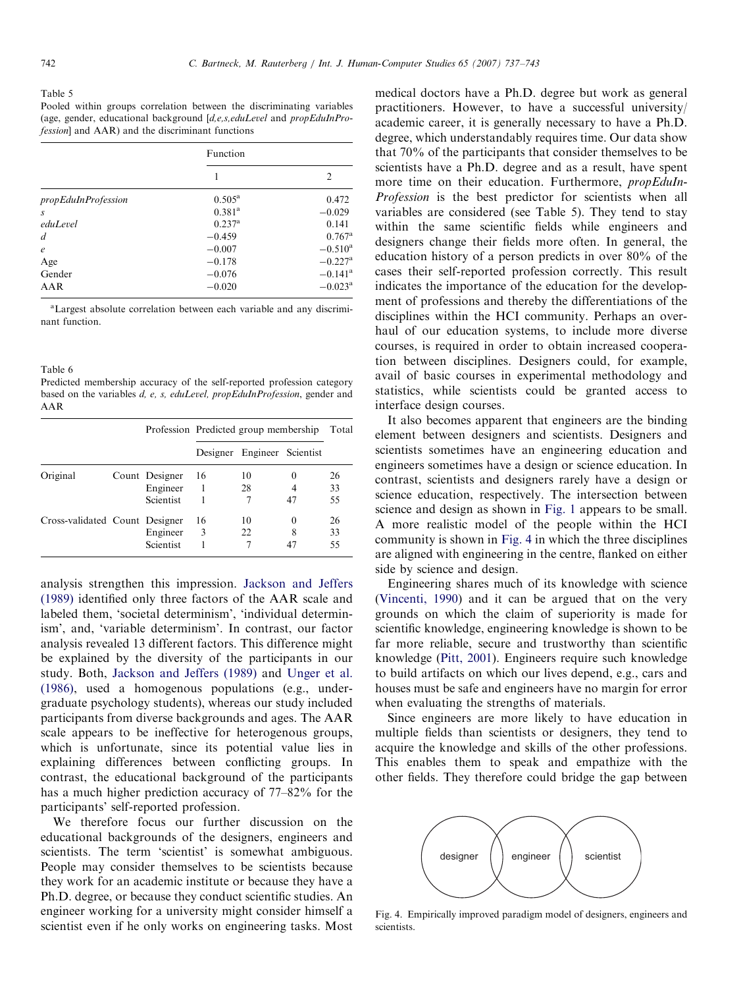<span id="page-5-0"></span>Table 5

Pooled within groups correlation between the discriminating variables (age, gender, educational background [d,e,s,eduLevel and propEduInProfession] and AAR) and the discriminant functions

|                     | Function        |                       |  |
|---------------------|-----------------|-----------------------|--|
|                     | 1               | 2                     |  |
| propEduInProfession | $0.505^{\rm a}$ | 0.472                 |  |
| $\overline{S}$      | $0.381^{\rm a}$ | $-0.029$              |  |
| eduLevel            | $0.237^{\rm a}$ | 0.141                 |  |
| d                   | $-0.459$        | $0.767$ <sup>a</sup>  |  |
| $\epsilon$          | $-0.007$        | $-0.510$ <sup>a</sup> |  |
| Age                 | $-0.178$        | $-0.227$ <sup>a</sup> |  |
| Gender              | $-0.076$        | $-0.141$ <sup>a</sup> |  |
| AAR                 | $-0.020$        | $-0.023$ <sup>a</sup> |  |

<sup>a</sup>Largest absolute correlation between each variable and any discriminant function.

Table 6

Predicted membership accuracy of the self-reported profession category based on the variables d, e, s, eduLevel, propEduInProfession, gender and AAR

|                                |  |                  | Profession Predicted group membership Total |                             |          |    |
|--------------------------------|--|------------------|---------------------------------------------|-----------------------------|----------|----|
|                                |  |                  |                                             | Designer Engineer Scientist |          |    |
| Original                       |  | Count Designer   | -16                                         | 10                          | $_{0}$   | 26 |
|                                |  | Engineer 1       |                                             | 28                          | 4        | 33 |
|                                |  | Scientist        |                                             |                             | 47       | 55 |
| Cross-validated Count Designer |  |                  | -16                                         | 10                          | $\theta$ | 26 |
|                                |  | Engineer         | 3                                           | 22                          | 8        | 33 |
|                                |  | <b>Scientist</b> |                                             |                             | 47       | 55 |

analysis strengthen this impression. [Jackson and Jeffers](#page-6-0) [\(1989\)](#page-6-0) identified only three factors of the AAR scale and labeled them, 'societal determinism', 'individual determinism', and, 'variable determinism'. In contrast, our factor analysis revealed 13 different factors. This difference might be explained by the diversity of the participants in our study. Both, [Jackson and Jeffers \(1989\)](#page-6-0) and [Unger et al.](#page-6-0) [\(1986\)](#page-6-0), used a homogenous populations (e.g., undergraduate psychology students), whereas our study included participants from diverse backgrounds and ages. The AAR scale appears to be ineffective for heterogenous groups, which is unfortunate, since its potential value lies in explaining differences between conflicting groups. In contrast, the educational background of the participants has a much higher prediction accuracy of 77–82% for the participants' self-reported profession.

We therefore focus our further discussion on the educational backgrounds of the designers, engineers and scientists. The term 'scientist' is somewhat ambiguous. People may consider themselves to be scientists because they work for an academic institute or because they have a Ph.D. degree, or because they conduct scientific studies. An engineer working for a university might consider himself a scientist even if he only works on engineering tasks. Most medical doctors have a Ph.D. degree but work as general practitioners. However, to have a successful university/ academic career, it is generally necessary to have a Ph.D. degree, which understandably requires time. Our data show that 70% of the participants that consider themselves to be scientists have a Ph.D. degree and as a result, have spent more time on their education. Furthermore, propEduIn-Profession is the best predictor for scientists when all variables are considered (see Table 5). They tend to stay within the same scientific fields while engineers and designers change their fields more often. In general, the education history of a person predicts in over 80% of the cases their self-reported profession correctly. This result indicates the importance of the education for the development of professions and thereby the differentiations of the disciplines within the HCI community. Perhaps an overhaul of our education systems, to include more diverse courses, is required in order to obtain increased cooperation between disciplines. Designers could, for example, avail of basic courses in experimental methodology and statistics, while scientists could be granted access to interface design courses.

It also becomes apparent that engineers are the binding element between designers and scientists. Designers and scientists sometimes have an engineering education and engineers sometimes have a design or science education. In contrast, scientists and designers rarely have a design or science education, respectively. The intersection between science and design as shown in [Fig. 1](#page-1-0) appears to be small. A more realistic model of the people within the HCI community is shown in Fig. 4 in which the three disciplines are aligned with engineering in the centre, flanked on either side by science and design.

Engineering shares much of its knowledge with science [\(Vincenti, 1990](#page-6-0)) and it can be argued that on the very grounds on which the claim of superiority is made for scientific knowledge, engineering knowledge is shown to be far more reliable, secure and trustworthy than scientific knowledge [\(Pitt, 2001\)](#page-6-0). Engineers require such knowledge to build artifacts on which our lives depend, e.g., cars and houses must be safe and engineers have no margin for error when evaluating the strengths of materials.

Since engineers are more likely to have education in multiple fields than scientists or designers, they tend to acquire the knowledge and skills of the other professions. This enables them to speak and empathize with the other fields. They therefore could bridge the gap between



Fig. 4. Empirically improved paradigm model of designers, engineers and scientists.